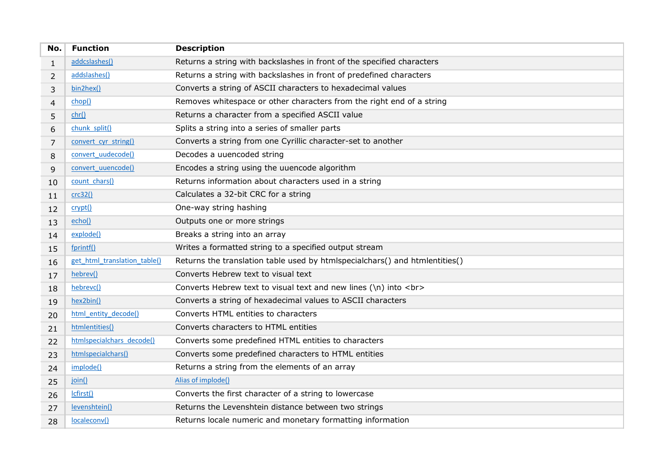| No.          | <b>Function</b>              | <b>Description</b>                                                          |
|--------------|------------------------------|-----------------------------------------------------------------------------|
| $\mathbf{1}$ | addcslashes()                | Returns a string with backslashes in front of the specified characters      |
| 2            | addslashes()                 | Returns a string with backslashes in front of predefined characters         |
| 3            | bin2hex()                    | Converts a string of ASCII characters to hexadecimal values                 |
| 4            | chop()                       | Removes whitespace or other characters from the right end of a string       |
| 5            | chr()                        | Returns a character from a specified ASCII value                            |
| 6            | chunk split()                | Splits a string into a series of smaller parts                              |
| 7            | convert cyr string()         | Converts a string from one Cyrillic character-set to another                |
| 8            | convert uudecode()           | Decodes a uuencoded string                                                  |
| 9            | convert uuencode()           | Encodes a string using the uuencode algorithm                               |
| 10           | count chars()                | Returns information about characters used in a string                       |
| 11           | crc32()                      | Calculates a 32-bit CRC for a string                                        |
| 12           | crypt()                      | One-way string hashing                                                      |
| 13           | echo()                       | Outputs one or more strings                                                 |
| 14           | explode()                    | Breaks a string into an array                                               |
| 15           | fprintf()                    | Writes a formatted string to a specified output stream                      |
| 16           | get html translation table() | Returns the translation table used by htmlspecialchars() and htmlentities() |
| 17           | hebrev()                     | Converts Hebrew text to visual text                                         |
| 18           | hebrevc()                    | Converts Hebrew text to visual text and new lines (\n) into<br>             |
| 19           | hex2bin()                    | Converts a string of hexadecimal values to ASCII characters                 |
| 20           | html entity decode()         | Converts HTML entities to characters                                        |
| 21           | htmlentities()               | Converts characters to HTML entities                                        |
| 22           | htmlspecialchars decode()    | Converts some predefined HTML entities to characters                        |
| 23           | htmlspecialchars()           | Converts some predefined characters to HTML entities                        |
| 24           | implode()                    | Returns a string from the elements of an array                              |
| 25           | join()                       | Alias of implode()                                                          |
| 26           | Icfirst()                    | Converts the first character of a string to lowercase                       |
| 27           | levenshtein()                | Returns the Levenshtein distance between two strings                        |
| 28           | localeconv()                 | Returns locale numeric and monetary formatting information                  |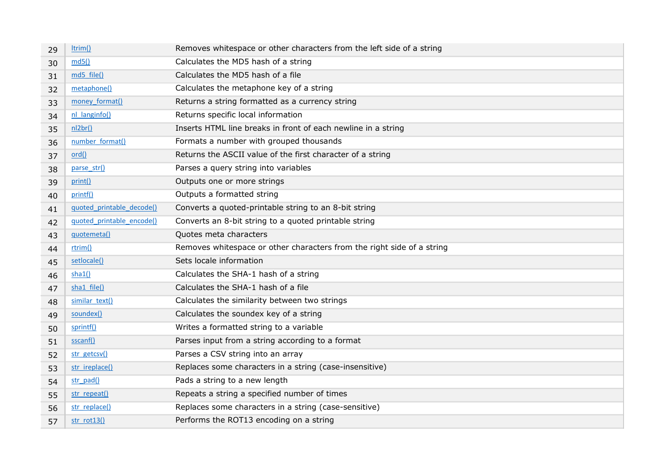| 29 | ltrim()                   | Removes whitespace or other characters from the left side of a string  |
|----|---------------------------|------------------------------------------------------------------------|
| 30 | md5()                     | Calculates the MD5 hash of a string                                    |
| 31 | md5 file()                | Calculates the MD5 hash of a file                                      |
| 32 | metaphone()               | Calculates the metaphone key of a string                               |
| 33 | money format()            | Returns a string formatted as a currency string                        |
| 34 | nl langinfo()             | Returns specific local information                                     |
| 35 | nl2br()                   | Inserts HTML line breaks in front of each newline in a string          |
| 36 | number format()           | Formats a number with grouped thousands                                |
| 37 | ord()                     | Returns the ASCII value of the first character of a string             |
| 38 | parse str()               | Parses a query string into variables                                   |
| 39 | print()                   | Outputs one or more strings                                            |
| 40 | printf()                  | Outputs a formatted string                                             |
| 41 | quoted printable decode() | Converts a quoted-printable string to an 8-bit string                  |
| 42 | quoted printable encode() | Converts an 8-bit string to a quoted printable string                  |
| 43 | quotemeta()               | Quotes meta characters                                                 |
| 44 | rtrim()                   | Removes whitespace or other characters from the right side of a string |
| 45 | setlocale()               | Sets locale information                                                |
| 46 | sha1()                    | Calculates the SHA-1 hash of a string                                  |
| 47 | sha1 file()               | Calculates the SHA-1 hash of a file                                    |
| 48 | similar text()            | Calculates the similarity between two strings                          |
| 49 | soundex()                 | Calculates the soundex key of a string                                 |
| 50 | sprintf()                 | Writes a formatted string to a variable                                |
| 51 | sscanf()                  | Parses input from a string according to a format                       |
| 52 | str getcsv()              | Parses a CSV string into an array                                      |
| 53 | str ireplace()            | Replaces some characters in a string (case-insensitive)                |
| 54 | str pad()                 | Pads a string to a new length                                          |
| 55 | str repeat()              | Repeats a string a specified number of times                           |
| 56 | str replace()             | Replaces some characters in a string (case-sensitive)                  |
| 57 | str_rot13()               | Performs the ROT13 encoding on a string                                |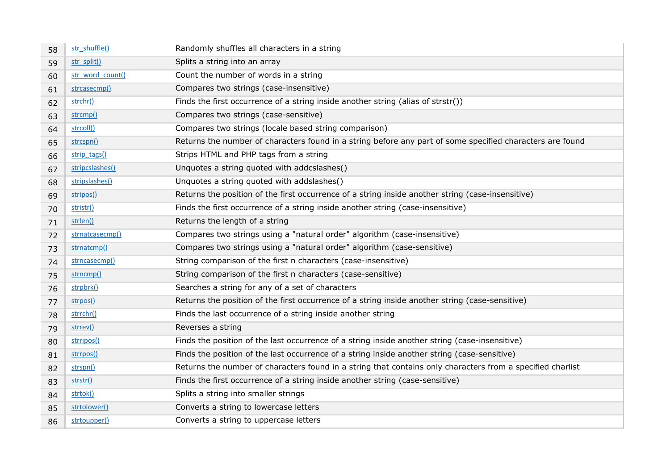| 58 | str_shuffle()    | Randomly shuffles all characters in a string                                                               |
|----|------------------|------------------------------------------------------------------------------------------------------------|
| 59 | str split()      | Splits a string into an array                                                                              |
| 60 | str_word_count() | Count the number of words in a string                                                                      |
| 61 | strcasecmp()     | Compares two strings (case-insensitive)                                                                    |
| 62 | strchr()         | Finds the first occurrence of a string inside another string (alias of strstr())                           |
| 63 | strcmp()         | Compares two strings (case-sensitive)                                                                      |
| 64 | strcoll()        | Compares two strings (locale based string comparison)                                                      |
| 65 | strcspn()        | Returns the number of characters found in a string before any part of some specified characters are found  |
| 66 | strip tags()     | Strips HTML and PHP tags from a string                                                                     |
| 67 | stripcslashes()  | Unquotes a string quoted with addcslashes()                                                                |
| 68 | stripslashes()   | Unquotes a string quoted with addslashes()                                                                 |
| 69 | stripos()        | Returns the position of the first occurrence of a string inside another string (case-insensitive)          |
| 70 | stristr()        | Finds the first occurrence of a string inside another string (case-insensitive)                            |
| 71 | strlen()         | Returns the length of a string                                                                             |
| 72 | strnatcasecmp()  | Compares two strings using a "natural order" algorithm (case-insensitive)                                  |
| 73 | strnatcmp()      | Compares two strings using a "natural order" algorithm (case-sensitive)                                    |
| 74 | strncasecmp()    | String comparison of the first n characters (case-insensitive)                                             |
| 75 | strncmp()        | String comparison of the first n characters (case-sensitive)                                               |
| 76 | strpbrk()        | Searches a string for any of a set of characters                                                           |
| 77 | strpos()         | Returns the position of the first occurrence of a string inside another string (case-sensitive)            |
| 78 | strrchr()        | Finds the last occurrence of a string inside another string                                                |
| 79 | strrev()         | Reverses a string                                                                                          |
| 80 | strripos()       | Finds the position of the last occurrence of a string inside another string (case-insensitive)             |
| 81 | strrpos()        | Finds the position of the last occurrence of a string inside another string (case-sensitive)               |
| 82 | strspn()         | Returns the number of characters found in a string that contains only characters from a specified charlist |
| 83 | strstr()         | Finds the first occurrence of a string inside another string (case-sensitive)                              |
| 84 | strtok()         | Splits a string into smaller strings                                                                       |
| 85 | strtolower()     | Converts a string to lowercase letters                                                                     |
| 86 | strtoupper()     | Converts a string to uppercase letters                                                                     |